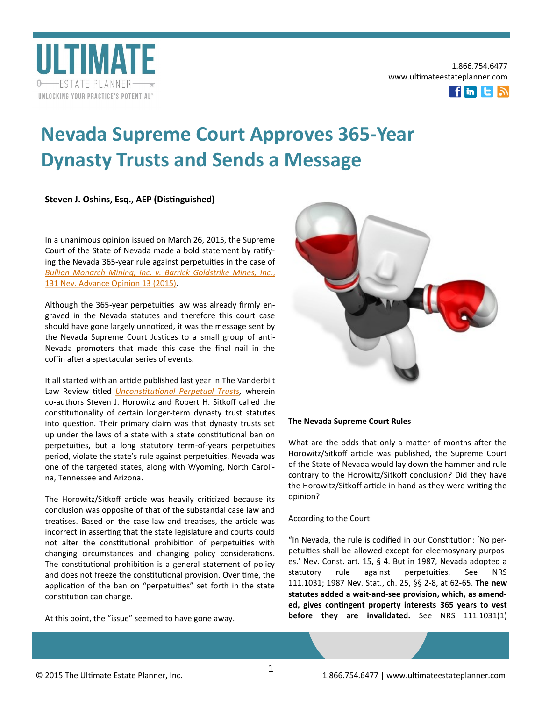

1.866.754.6477 www.ultimateestateplanner.com



# **Nevada Supreme Court Approves 365-Year Dynasty Trusts and Sends a Message**

**Steven J. Oshins, Esq., AEP (Distinguished)**

In a unanimous opinion issued on March 26, 2015, the Supreme Court of the State of Nevada made a bold statement by ratifying the Nevada 365-year rule against perpetuities in the case of *[Bullion Monarch Mining, Inc. v. Barrick Goldstrike Mines, Inc.](http://www.oshins.com/images/Nevada_Bullion_v._Barrick.pdf)*, [131 Nev. Advance Opinion 13 \(2015\).](http://www.oshins.com/images/Nevada_Bullion_v._Barrick.pdf) 

Although the 365-year perpetuities law was already firmly engraved in the Nevada statutes and therefore this court case should have gone largely unnoticed, it was the message sent by the Nevada Supreme Court Justices to a small group of anti-Nevada promoters that made this case the final nail in the coffin after a spectacular series of events.

It all started with an article published last year in The Vanderbilt Law Review titled *[Unconstitutional Perpetual Trusts,](http://papers.ssrn.com/sol3/papers.cfm?abstract_id=2451083)* wherein co-authors Steven J. Horowitz and Robert H. Sitkoff called the constitutionality of certain longer-term dynasty trust statutes into question. Their primary claim was that dynasty trusts set up under the laws of a state with a state constitutional ban on perpetuities, but a long statutory term-of-years perpetuities period, violate the state's rule against perpetuities. Nevada was one of the targeted states, along with Wyoming, North Carolina, Tennessee and Arizona.

The Horowitz/Sitkoff article was heavily criticized because its conclusion was opposite of that of the substantial case law and treatises. Based on the case law and treatises, the article was incorrect in asserting that the state legislature and courts could not alter the constitutional prohibition of perpetuities with changing circumstances and changing policy considerations. The constitutional prohibition is a general statement of policy and does not freeze the constitutional provision. Over time, the application of the ban on "perpetuities" set forth in the state constitution can change.

At this point, the "issue" seemed to have gone away.



## **The Nevada Supreme Court Rules**

What are the odds that only a matter of months after the Horowitz/Sitkoff article was published, the Supreme Court of the State of Nevada would lay down the hammer and rule contrary to the Horowitz/Sitkoff conclusion? Did they have the Horowitz/Sitkoff article in hand as they were writing the opinion?

According to the Court:

"In Nevada, the rule is codified in our Constitution: 'No perpetuities shall be allowed except for eleemosynary purposes.' Nev. Const. art. 15, § 4. But in 1987, Nevada adopted a statutory rule against perpetuities. See NRS 111.1031; 1987 Nev. Stat., ch. 25, §§ 2-8, at 62-65. **The new statutes added a wait-and-see provision, which, as amended, gives contingent property interests 365 years to vest before they are invalidated.** See NRS 111.1031(1)